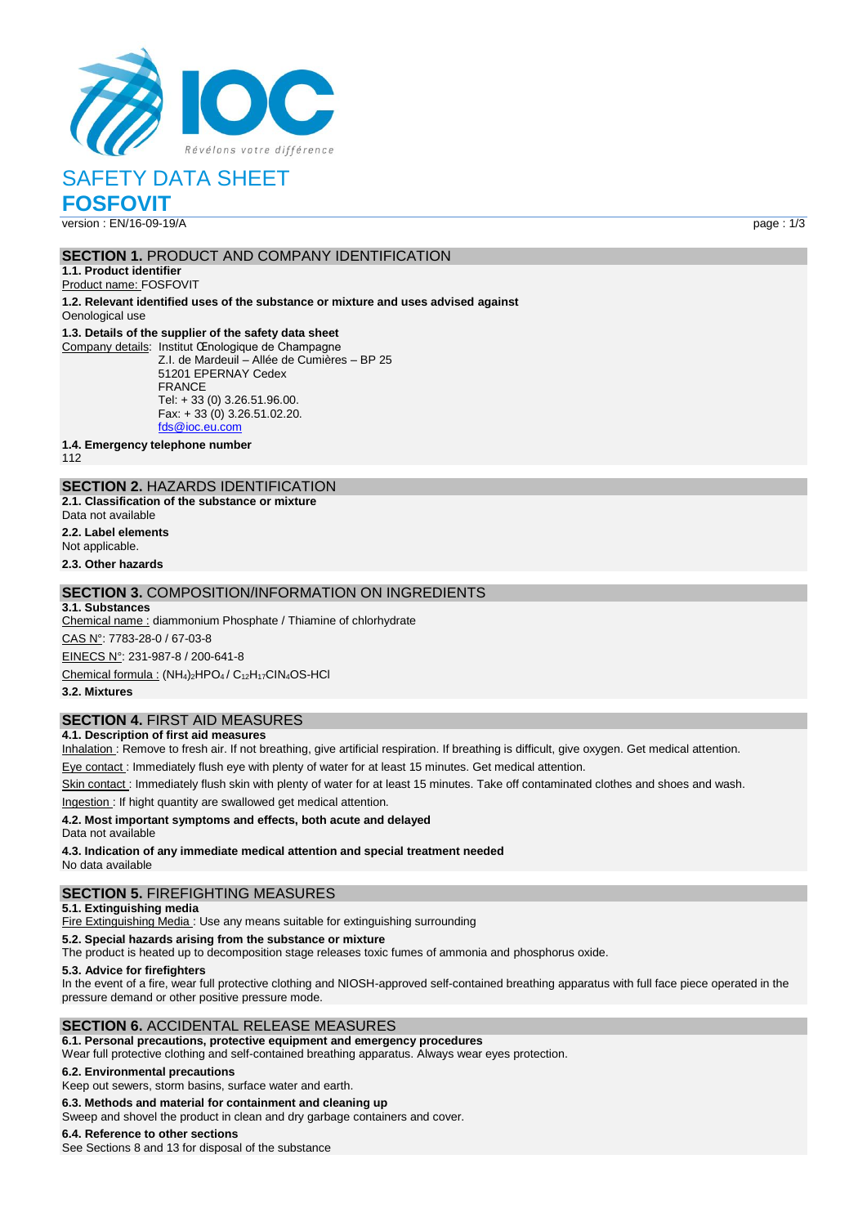

SAFETY DATA SHEET

**FOSFOVIT**

version : EN/16-09-19/A page : 1/3

### **SECTION 1.** PRODUCT AND COMPANY IDENTIFICATION

**1.1. Product identifier** Product name: FOSFOVIT

**1.2. Relevant identified uses of the substance or mixture and uses advised against** Oenological use

### **1.3. Details of the supplier of the safety data sheet**

Company details: Institut Œnologique de Champagne Z.I. de Mardeuil – Allée de Cumières – BP 25 51201 EPERNAY Cedex FRANCE Tel: + 33 (0) 3.26.51.96.00. Fax: + 33 (0) 3.26.51.02.20. [fds@ioc.eu.com](mailto:fds@ioc.eu.com)

**1.4. Emergency telephone number**

112

# **SECTION 2.** HAZARDS IDENTIFICATION

**2.1. Classification of the substance or mixture** Data not available

**2.2. Label elements**

Not applicable. **2.3. Other hazards**

# **SECTION 3.** COMPOSITION/INFORMATION ON INGREDIENTS

**3.1. Substances** Chemical name : diammonium Phosphate / Thiamine of chlorhydrate CAS N°: 7783-28-0 / 67-03-8 EINECS N°: 231-987-8 / 200-641-8 Chemical formula : (NH<sub>4</sub>)<sub>2</sub>HPO<sub>4</sub> / C<sub>12</sub>H<sub>17</sub>CIN<sub>4</sub>OS-HCl

**3.2. Mixtures**

# **SECTION 4.** FIRST AID MEASURES

### **4.1. Description of first aid measures**

Inhalation : Remove to fresh air. If not breathing, give artificial respiration. If breathing is difficult, give oxygen. Get medical attention.

Eye contact : Immediately flush eye with plenty of water for at least 15 minutes. Get medical attention.

Skin contact : Immediately flush skin with plenty of water for at least 15 minutes. Take off contaminated clothes and shoes and wash.

Ingestion : If hight quantity are swallowed get medical attention.

### **4.2. Most important symptoms and effects, both acute and delayed**

Data not available

**4.3. Indication of any immediate medical attention and special treatment needed** No data available

# **SECTION 5.** FIREFIGHTING MEASURES

**5.1. Extinguishing media**

Fire Extinguishing Media : Use any means suitable for extinguishing surrounding

**5.2. Special hazards arising from the substance or mixture**

The product is heated up to decomposition stage releases toxic fumes of ammonia and phosphorus oxide.

### **5.3. Advice for firefighters**

In the event of a fire, wear full protective clothing and NIOSH-approved self-contained breathing apparatus with full face piece operated in the pressure demand or other positive pressure mode.

# **SECTION 6.** ACCIDENTAL RELEASE MEASURES

**6.1. Personal precautions, protective equipment and emergency procedures**

Wear full protective clothing and self-contained breathing apparatus. Always wear eyes protection.

# **6.2. Environmental precautions**

# Keep out sewers, storm basins, surface water and earth.

**6.3. Methods and material for containment and cleaning up**

Sweep and shovel the product in clean and dry garbage containers and cover.

# **6.4. Reference to other sections**

See Sections 8 and 13 for disposal of the substance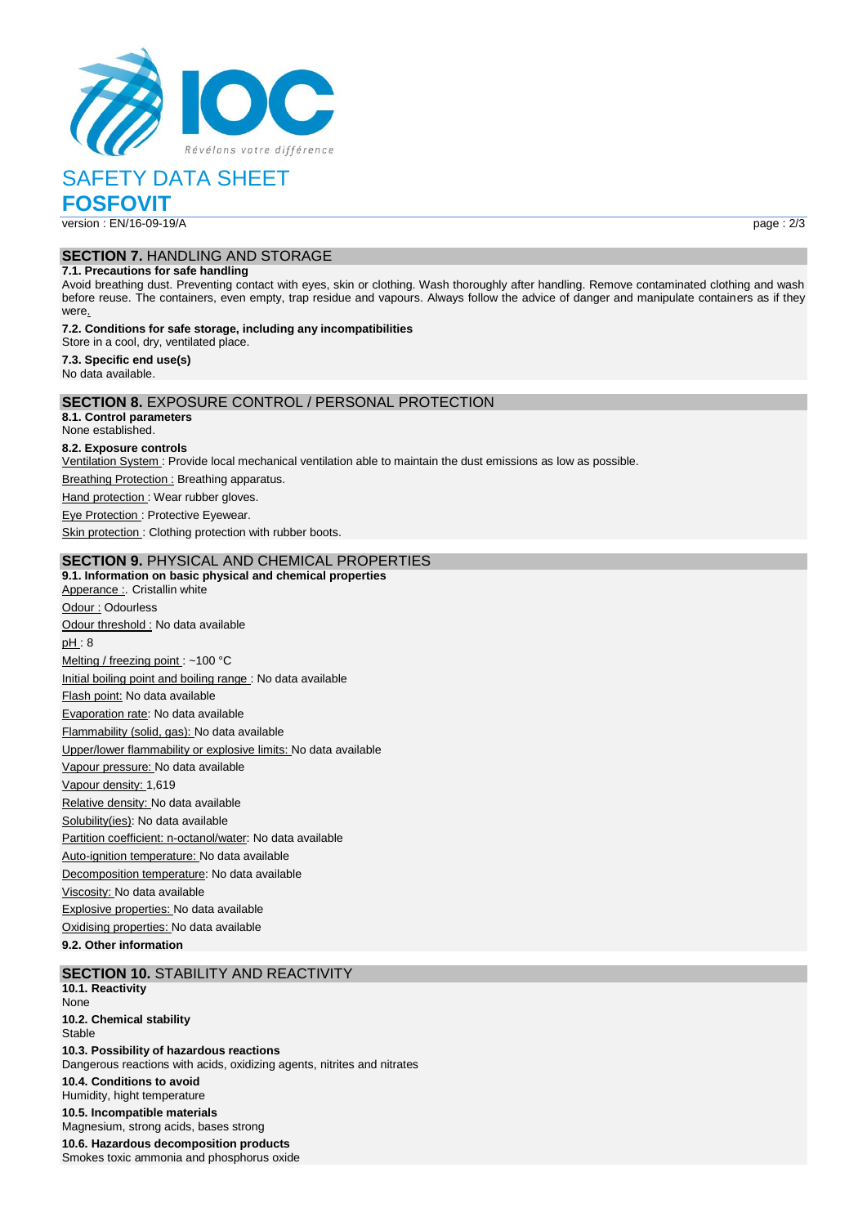

# SAFETY DATA SHEET

**FOSFOVIT**

version : EN/16-09-19/A page : 2/3

# **SECTION 7.** HANDLING AND STORAGE

### **7.1. Precautions for safe handling**

Avoid breathing dust. Preventing contact with eyes, skin or clothing. Wash thoroughly after handling. Remove contaminated clothing and wash before reuse. The containers, even empty, trap residue and vapours. Always follow the advice of danger and manipulate containers as if they were.

### **7.2. Conditions for safe storage, including any incompatibilities** Store in a cool, dry, ventilated place. **7.3. Specific end use(s)** No data available.

### **SECTION 8.** EXPOSURE CONTROL / PERSONAL PROTECTION

**8.1. Control parameters** None established. **8.2. Exposure controls** Ventilation System : Provide local mechanical ventilation able to maintain the dust emissions as low as possible. **Breathing Protection: Breathing apparatus.** Hand protection: Wear rubber gloves. Eye Protection : Protective Eyewear. Skin protection : Clothing protection with rubber boots.

### **SECTION 9.** PHYSICAL AND CHEMICAL PROPERTIES

**9.1. Information on basic physical and chemical properties** Apperance : Cristallin white Odour : Odourless Odour threshold : No data available pH : 8 Melting / freezing point : ~100 °C Initial boiling point and boiling range : No data available Flash point: No data available Evaporation rate: No data available Flammability (solid, gas): No data available Upper/lower flammability or explosive limits: No data available Vapour pressure: No data available Vapour density: 1,619 Relative density: No data available Solubility(ies): No data available Partition coefficient: n-octanol/water: No data available Auto-ignition temperature: No data available Decomposition temperature: No data available Viscosity: No data available Explosive properties: No data available Oxidising properties: No data available

**9.2. Other information**

### **SECTION 10.** STABILITY AND REACTIVITY

**10.1. Reactivity** None **10.2. Chemical stability** Stable **10.3. Possibility of hazardous reactions** Dangerous reactions with acids, oxidizing agents, nitrites and nitrates **10.4. Conditions to avoid** Humidity, hight temperature **10.5. Incompatible materials** Magnesium, strong acids, bases strong **10.6. Hazardous decomposition products**

Smokes toxic ammonia and phosphorus oxide